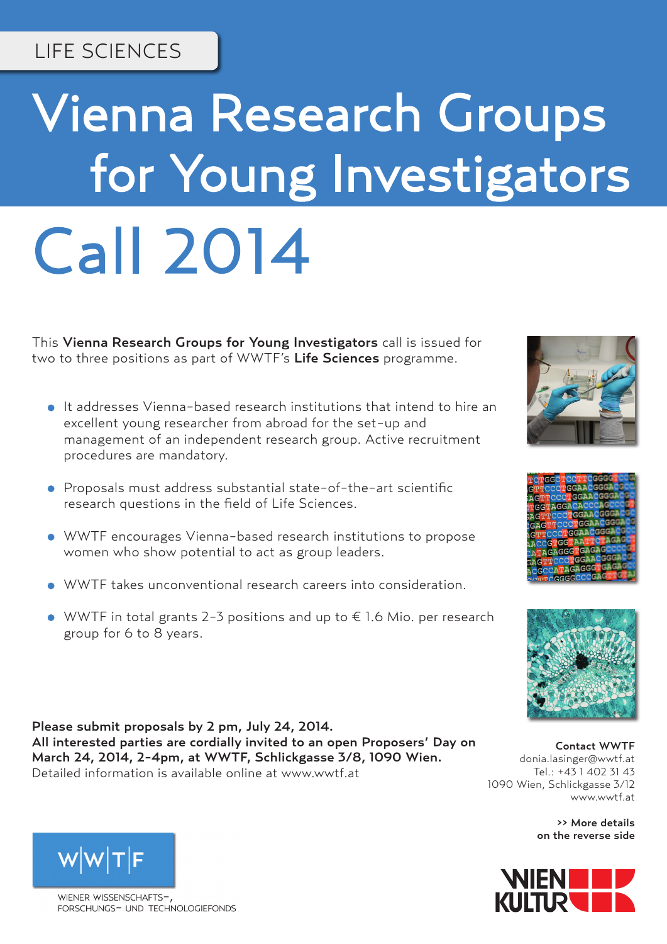## LIFE SCIENCES

# Vienna Research Groups for Young Investigators Call 2014

This Vienna Research Groups for Young Investigators call is issued for two to three positions as part of WWTF's Life Sciences programme.

- It addresses Vienna-based research institutions that intend to hire an excellent young researcher from abroad for the set-up and management of an independent research group. Active recruitment procedures are mandatory.
- Proposals must address substantial state-of-the-art scientific research questions in the field of Life Sciences.
- WWTF encourages Vienna-based research institutions to propose women who show potential to act as group leaders.
- WWTF takes unconventional research careers into consideration.
- $\bullet$  WWTF in total grants 2-3 positions and up to € 1.6 Mio. per research group for 6 to 8 years.

Please submit proposals by 2 pm, July 24, 2014. All interested parties are cordially invited to an open Proposers' Day on March 24, 2014, 2-4pm, at WWTF, Schlickgasse 3/8, 1090 Wien. Detailed information is available online at www.wwtf.at

Contact WWTF donia.lasinger@wwtf.at Tel.: +43 1 402 31 43 1090 Wien, Schlickgasse 3/12 www.wwtf.at

> >> More details on the reverse side





WIENER WISSENSCHAFTS-FORSCHUNGS- UND TECHNOLOGIEFONDS